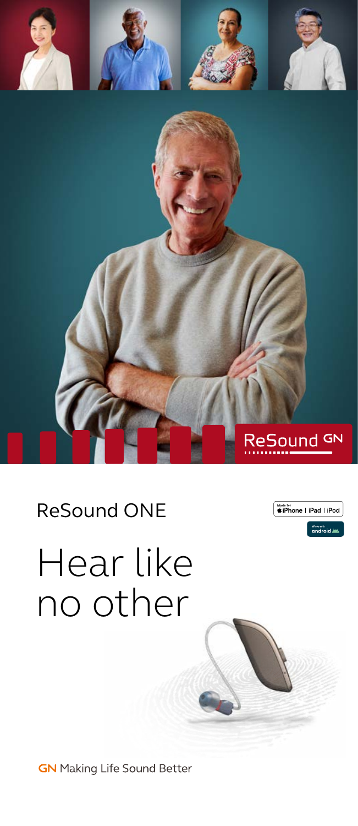

### ReSound ONE



# Hear like no other

**GN** Making Life Sound Better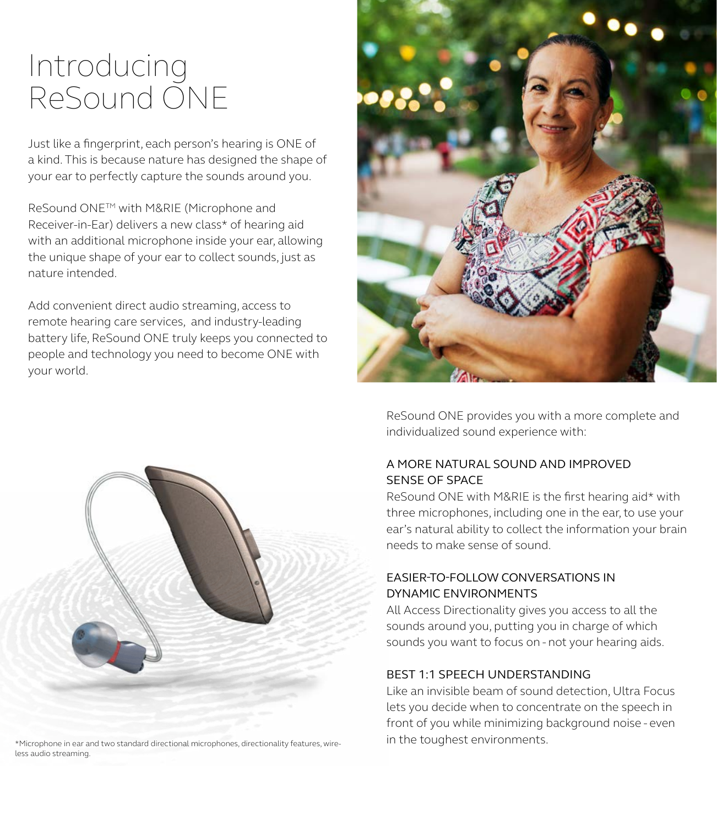### Introducing ReSound ONE

Just like a fingerprint, each person's hearing is ONE of a kind. This is because nature has designed the shape of your ear to perfectly capture the sounds around you.

ReSound ONETM with M&RIE (Microphone and Receiver-in-Ear) delivers a new class\* of hearing aid with an additional microphone inside your ear, allowing the unique shape of your ear to collect sounds, just as nature intended.

Add convenient direct audio streaming, access to remote hearing care services, and industry-leading battery life, ReSound ONE truly keeps you connected to people and technology you need to become ONE with your world.





\*Microphone in ear and two standard directional microphones, directionality features, wire- **in the toughest environments.** less audio streaming.

ReSound ONE provides you with a more complete and individualized sound experience with:

#### A MORE NATURAL SOUND AND IMPROVED SENSE OF SPACE

ReSound ONE with M&RIE is the first hearing aid\* with three microphones, including one in the ear, to use your ear's natural ability to collect the information your brain needs to make sense of sound.

#### EASIER-TO-FOLLOW CONVERSATIONS IN DYNAMIC ENVIRONMENTS

All Access Directionality gives you access to all the sounds around you, putting you in charge of which sounds you want to focus on - not your hearing aids.

#### BEST 1:1 SPEECH UNDERSTANDING

Like an invisible beam of sound detection, Ultra Focus lets you decide when to concentrate on the speech in front of you while minimizing background noise - even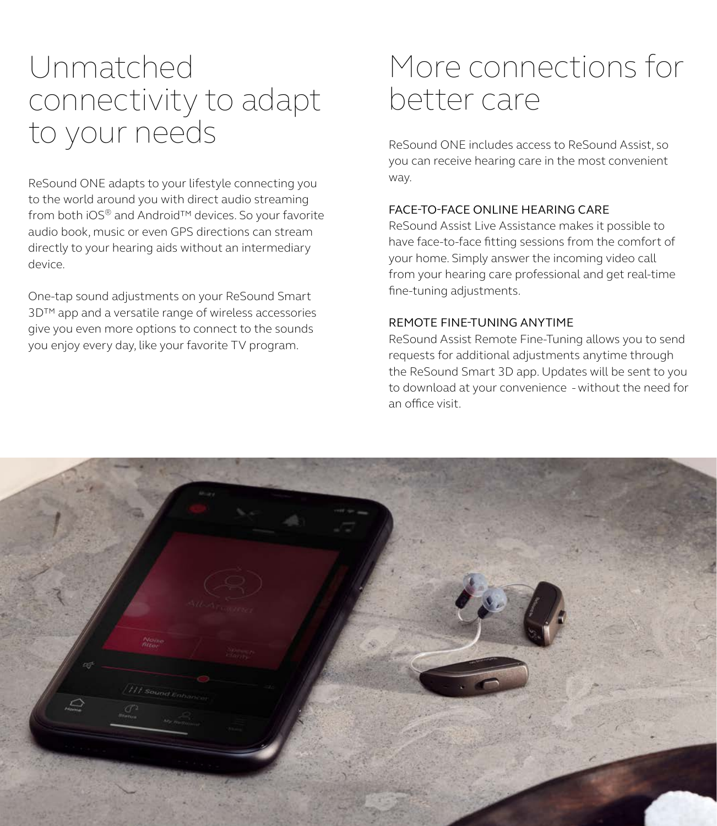### Unmatched connectivity to adapt to your needs

ReSound ONE adapts to your lifestyle connecting you to the world around you with direct audio streaming from both iOS® and Android™ devices. So your favorite audio book, music or even GPS directions can stream directly to your hearing aids without an intermediary device.

One-tap sound adjustments on your ReSound Smart 3D™ app and a versatile range of wireless accessories give you even more options to connect to the sounds you enjoy every day, like your favorite TV program.

### More connections for better care

ReSound ONE includes access to ReSound Assist, so you can receive hearing care in the most convenient way.

#### FACE-TO-FACE ONLINE HEARING CARE

ReSound Assist Live Assistance makes it possible to have face-to-face fitting sessions from the comfort of your home. Simply answer the incoming video call from your hearing care professional and get real-time fine-tuning adjustments.

#### REMOTE FINE-TUNING ANYTIME

ReSound Assist Remote Fine-Tuning allows you to send requests for additional adjustments anytime through the ReSound Smart 3D app. Updates will be sent to you to download at your convenience - without the need for an office visit.

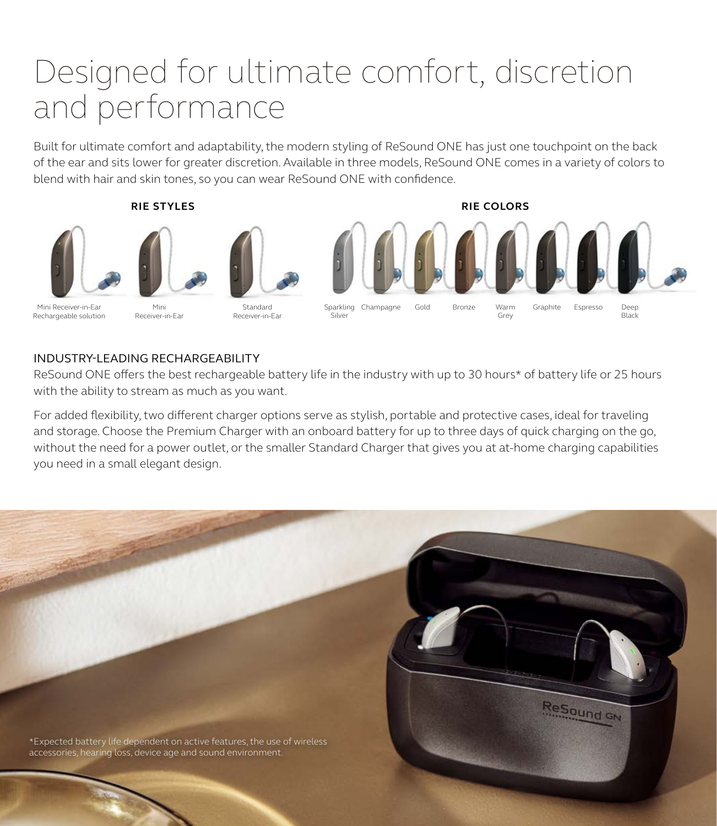## Designed for ultimate comfort, discretion and performance

Built for ultimate comfort and adaptability, the modern styling of ReSound ONE has just one touchpoint on the back of the ear and sits lower for greater discretion. Available in three models, ReSound ONE comes in a variety of colors to blend with hair and skin tones, so you can wear ReSound ONE with confidence.







Mini Receiver-in-Ear Rechargeable solution

Mini Receiver-in-Ear

Standard Receiver-in-Ear



#### INDUSTRY-LEADING RECHARGEABILITY

ReSound ONE offers the best rechargeable battery life in the industry with up to 30 hours\* of battery life or 25 hours with the ability to stream as much as you want.

For added flexibility, two different charger options serve as stylish, portable and protective cases, ideal for traveling and storage. Choose the Premium Charger with an onboard battery for up to three days of quick charging on the go, without the need for a power outlet, or the smaller Standard Charger that gives you at at-home charging capabilities you need in a small elegant design.